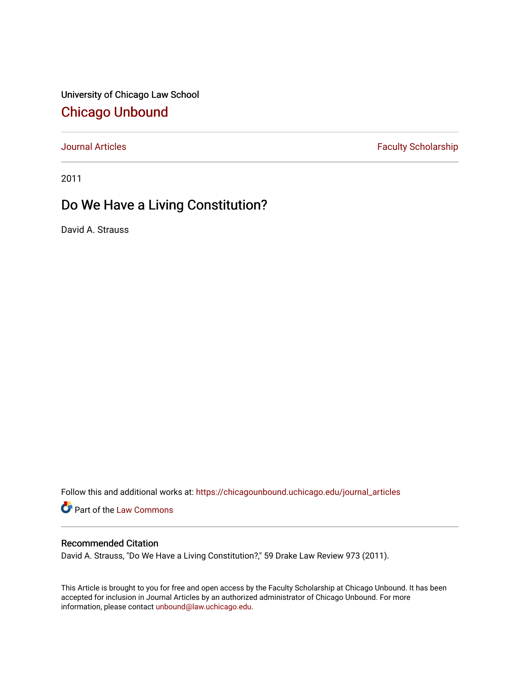University of Chicago Law School [Chicago Unbound](https://chicagounbound.uchicago.edu/)

[Journal Articles](https://chicagounbound.uchicago.edu/journal_articles) **Faculty Scholarship Faculty Scholarship** 

2011

## Do We Have a Living Constitution?

David A. Strauss

Follow this and additional works at: [https://chicagounbound.uchicago.edu/journal\\_articles](https://chicagounbound.uchicago.edu/journal_articles?utm_source=chicagounbound.uchicago.edu%2Fjournal_articles%2F2010&utm_medium=PDF&utm_campaign=PDFCoverPages) 

Part of the [Law Commons](http://network.bepress.com/hgg/discipline/578?utm_source=chicagounbound.uchicago.edu%2Fjournal_articles%2F2010&utm_medium=PDF&utm_campaign=PDFCoverPages)

## Recommended Citation

David A. Strauss, "Do We Have a Living Constitution?," 59 Drake Law Review 973 (2011).

This Article is brought to you for free and open access by the Faculty Scholarship at Chicago Unbound. It has been accepted for inclusion in Journal Articles by an authorized administrator of Chicago Unbound. For more information, please contact [unbound@law.uchicago.edu](mailto:unbound@law.uchicago.edu).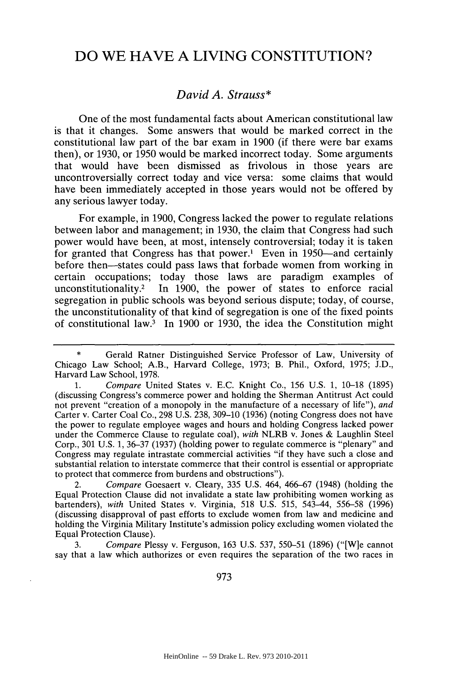## **DO** WE **HAVE A LIVING CONSTITUTION?**

## *David A. Strauss\**

One of the most fundamental facts about American constitutional law is that it changes. Some answers that would be marked correct in the constitutional law part of the bar exam in **1900** (if there were bar exams then), or **1930,** or **1950** would be marked incorrect today. Some arguments that would have been dismissed as frivolous in those years are uncontroversially correct today and vice versa: some claims that would have been immediately accepted in those years would not be offered **by** any serious lawyer today.

For example, in **1900,** Congress lacked the power to regulate relations between labor and management; in **1930,** the claim that Congress had such power would have been, at most, intensely controversial; today it is taken for granted that Congress has that power.<sup>1</sup> Even in 1950-and certainly before then-states could pass laws that forbade women from working in certain occupations; today those laws are paradigm examples of unconstitutionality.2 In **1900,** the power of states to enforce racial segregation in public schools was beyond serious dispute; today, of course, the unconstitutionality of that kind of segregation is one of the fixed points of constitutional law.3 In **1900** or **1930,** the idea the Constitution might

2. *Compare* Goesaert v. Cleary, **335 U.S.** 464, **466-67** (1948) (holding the Equal Protection Clause did not invalidate a state law prohibiting women working as bartenders), *with* United States v. Virginia, **518 U.S. 515,** 543-44, **556-58 (1996)** (discussing disapproval of past efforts to exclude women from law and medicine and holding the Virginia Military Institute's admission policy excluding women violated the Equal Protection Clause).

**3.** *Compare* Plessy v. Ferguson, **163 U.S. 537, 550-51 (1896)** ("[W]e cannot say that a law which authorizes or even requires the separation of the two races in

**973**

<sup>\*</sup> Gerald Ratner Distinguished Service Professor of Law, University of Chicago Law School; A.B., Harvard College, **1973;** B. Phil., Oxford, **1975; J.D.,** Harvard Law School, **1978.**

**<sup>1.</sup>** *Compare* United States v. **E.C.** Knight Co., **156 U.S. 1, 10-18 (1895)** (discussing Congress's commerce power and holding the Sherman Antitrust Act could not prevent "creation of a monopoly in the manufacture of a necessary of life"), *and* Carter v. Carter Coal Co., **298 U.S. 238, 309-10 (1936)** (noting Congress does not have the power to regulate employee wages and hours and holding Congress lacked power under the Commerce Clause to regulate coal), *with* NLRB v. Jones **&** Laughlin Steel Corp., **301 U.S. 1, 36-37 (1937)** (holding power to regulate commerce is "plenary" and Congress may regulate intrastate commercial activities "if they have such a close and substantial relation to interstate commerce that their control is essential or appropriate to protect that commerce from burdens and obstructions").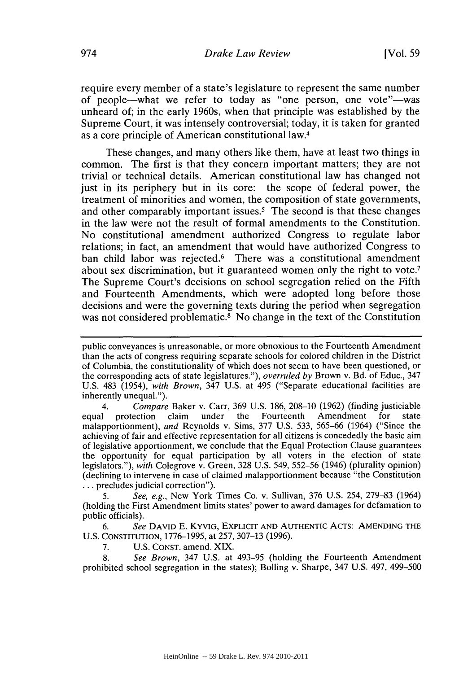require every member of a state's legislature to represent the same number of people—what we refer to today as "one person, one vote"—was unheard of; in the early 1960s, when that principle was established **by** the Supreme Court, it was intensely controversial; today, it is taken for granted as a core principle of American constitutional law.4

These changes, and many others like them, have at least two things in common. The first is that they concern important matters; they are not trivial or technical details. American constitutional law has changed not just in its periphery but in its core: the scope of federal power, the treatment of minorities and women, the composition of state governments, and other comparably important issues.<sup>5</sup> The second is that these changes in the law were not the result of formal amendments to the Constitution. No constitutional amendment authorized Congress to regulate labor relations; in fact, an amendment that would have authorized Congress to ban child labor was rejected.<sup>6</sup> There was a constitutional amendment about sex discrimination, but it guaranteed women only the right to vote.' The Supreme Court's decisions on school segregation relied on the Fifth and Fourteenth Amendments, which were adopted long before those decisions and were the governing texts during the period when segregation was not considered problematic.<sup>8</sup> No change in the text of the Constitution

*4. Compare* Baker v. Carr, **369 U.S. 186, 208-10 (1962)** (finding justiciable protection claim under the Fourteenth Amendment for malapportionment), *and* Reynolds v. Sims, **377 U.S. 533,** *565-66* (1964) ("Since the achieving of fair and effective representation for all citizens is concededly the basic aim of legislative apportionment, we conclude that the Equal Protection Clause guarantees the opportunity for equal participation **by** all voters in the election of state legislators."), *with* Colegrove v. Green, **328 U.S.** *549,* **552-56** (1946) (plurality opinion) (declining to intervene in case of claimed malapportionment because "the Constitution **...** precludes judicial correction").

*5. See, e.g.,* New York Times Co. v. Sullivan, **376 U.S.** 254, **279-83** (1964) (holding the First Amendment limits states' power to award damages for defamation to public officials).

*6. See* DAVID E. KYVIG, EXPLICIT AND AUTHENTIC AcTs: **AMENDING** THE **U.S. CONSTITUTION, 1776-1995,** at **257, 307-13 (1996).**

**7. U.S. CONST.** amend. XIX.

**8.** *See Brown,* 347 **U.S.** at **493-95** (holding the Fourteenth Amendment prohibited school segregation in the states); Bolling v. Sharpe, 347 **U.S.** 497, 499-500

public conveyances is unreasonable, or more obnoxious to the Fourteenth Amendment than the acts of congress requiring separate schools for colored children in the District of Columbia, the constitutionality of which does not seem to have been questioned, or the corresponding acts of state legislatures."), *overruled by* Brown v. Bd. of Educ., 347 **U.S.** 483 (1954), *with Brown,* 347 **U.S.** at *495* ("Separate educational facilities are inherently unequal.").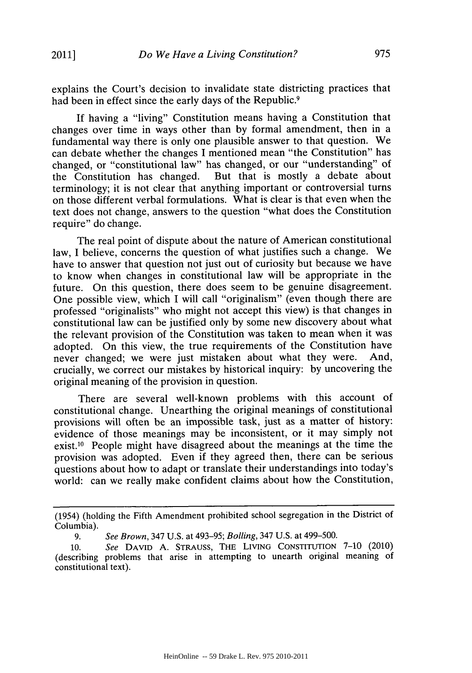explains the Court's decision to invalidate state districting practices that had been in effect since the early days of the Republic.<sup>9</sup>

If having a "living" Constitution means having a Constitution that changes over time in ways other than **by** formal amendment, then in a fundamental way there is only one plausible answer to that question. We can debate whether the changes **I** mentioned mean "the Constitution" has changed, or "constitutional law" has changed, or our "understanding" of the Constitution has changed. But that is mostly a debate about But that is mostly a debate about terminology; it is not clear that anything important or controversial turns on those different verbal formulations. What is clear is that even when the text does not change, answers to the question "what does the Constitution require" do change.

The real point of dispute about the nature of American constitutional law, **I** believe, concerns the question of what justifies such a change. We have to answer that question not just out of curiosity but because we have to know when changes in constitutional law will be appropriate in the future. On this question, there does seem to be genuine disagreement. One possible view, which **I** will call "originalism" (even though there are professed "originalists" who might not accept this view) is that changes in constitutional law can be justified only **by** some new discovery about what the relevant provision of the Constitution was taken to mean when it was adopted. On this view, the true requirements of the Constitution have never changed; we were just mistaken about what they were. And, crucially, we correct our mistakes **by** historical inquiry: **by** uncovering the original meaning of the provision in question.

There are several well-known problems with this account of constitutional change. Unearthing the original meanings of constitutional provisions will often be an impossible task, just as a matter of history: evidence of those meanings may be inconsistent, or it may simply not exist.'0 People might have disagreed about the meanings at the time the provision was adopted. Even if they agreed then, there can be serious questions about how to adapt or translate their understandings into today's world: can we really make confident claims about how the Constitution,

<sup>(1954) (</sup>holding the Fifth Amendment prohibited school segregation in the District of Columbia).

*<sup>9.</sup> See Brown,* 347 **U.S.** at **493-95;** *Bolling,* 347 **U.S.** at 499-500.

**<sup>10.</sup>** *See* **DAVID A. STRAUSS, THE LIVING CONSTITUTION 7-10** (2010) (describing problems that arise in attempting to unearth original meaning of constitutional text).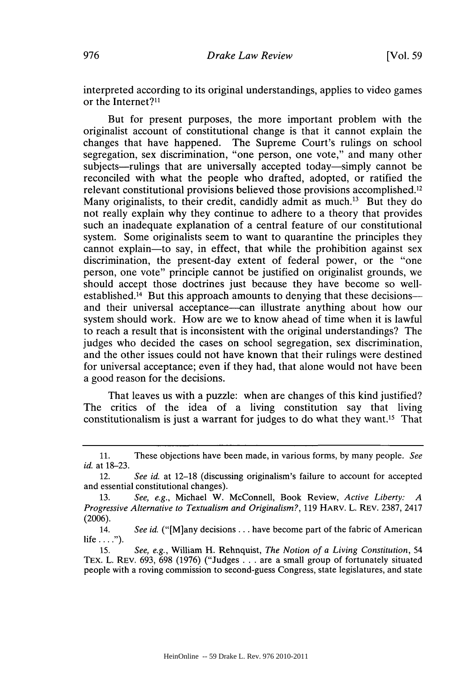interpreted according to its original understandings, applies to video games or the Internet?<sup>11</sup>

But for present purposes, the more important problem with the originalist account of constitutional change is that it cannot explain the changes that have happened. The Supreme Court's rulings on school segregation, sex discrimination, "one person, one vote," and many other subjects—rulings that are universally accepted today—simply cannot be reconciled with what the people who drafted, adopted, or ratified the relevant constitutional provisions believed those provisions accomplished.<sup>12</sup> Many originalists, to their credit, candidly admit as much.<sup>13</sup> But they do not really explain why they continue to adhere to a theory that provides such an inadequate explanation of a central feature of our constitutional system. Some originalists seem to want to quarantine the principles they cannot explain-to say, in effect, that while the prohibition against sex discrimination, the present-day extent of federal power, or the "one person, one vote" principle cannot be justified on originalist grounds, we should accept those doctrines just because they have become so wellestablished.<sup>14</sup> But this approach amounts to denying that these decisions--and their universal acceptance—can illustrate anything about how our system should work. How are we to know ahead of time when it is lawful to reach a result that is inconsistent with the original understandings? The judges who decided the cases on school segregation, sex discrimination, and the other issues could not have known that their rulings were destined for universal acceptance; even if they had, that alone would not have been a good reason for the decisions.

That leaves us with a puzzle: when are changes of this kind justified? The critics of the idea of a living constitution say that living constitutionalism is just a warrant for judges to do what they want." That

**<sup>11.</sup>** These objections have been made, in various forms, **by** many people. *See id.* at **18-23.**

<sup>12.</sup> *See id.* at **12-18** (discussing originalism's failure to account for accepted and essential constitutional changes).

**<sup>13.</sup>** *See, e.g.,* Michael W. McConnell, Book Review, *Active Liberty: A Progressive Alternative to Textualism and Originalism?,* **119 HARv.** L. REV. **2387,** 2417 **(2006).**

<sup>14.</sup> *See id.* ("[M]any decisions **...** have become part of the fabric of American life  $\dots$ .").

**<sup>15.</sup>** *See, e.g.,* William H. Rehnquist, *The Notion of a Living Constitution, 54* TEx. L. **REV. 693, 698 (1976)** ("Judges **.** . **.** are a small group of fortunately situated people with a roving commission to second-guess Congress, state legislatures, and state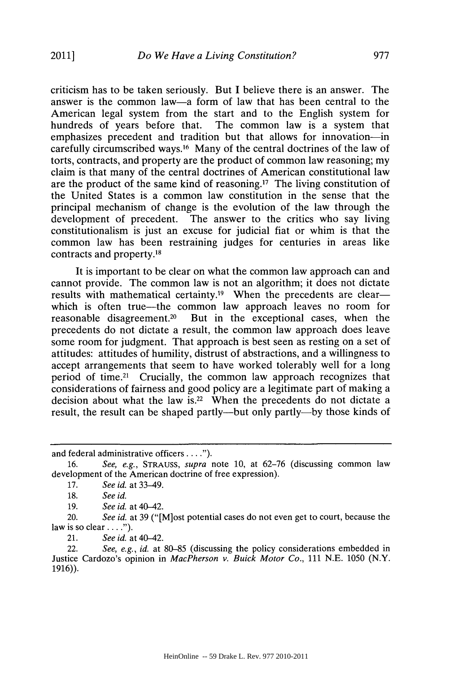criticism has to be taken seriously. But **I** believe there is an answer. The answer is the common law-a form of law that has been central to the American legal system from the start and to the English system for hundreds of years before that. The common law is a system that emphasizes precedent and tradition but that allows for innovation-in carefully circumscribed ways.16 Many of the central doctrines of the law of torts, contracts, and property are the product of common law reasoning; my claim is that many of the central doctrines of American constitutional law are the product of the same kind of reasoning.17 The living constitution of the United States is a common law constitution in the sense that the principal mechanism of change is the evolution of the law through the development of precedent. The answer to the critics who say living constitutionalism is just an excuse for judicial fiat or whim is that the common law has been restraining judges for centuries in areas like contracts and property.18

It is important to be clear on what the common law approach can and cannot provide. The common law is not an algorithm; it does not dictate results with mathematical certainty.<sup>19</sup> When the precedents are clearwhich is often true—the common law approach leaves no room for reasonable disagreement.<sup>20</sup> But in the exceptional cases, when the precedents do not dictate a result, the common law approach does leave some room for judgment. That approach is best seen as resting on a set of attitudes: attitudes of humility, distrust of abstractions, and a willingness to accept arrangements that seem to have worked tolerably well for a long period of time.<sup>21</sup> Crucially, the common law approach recognizes that considerations of fairness and good policy are a legitimate part of making a decision about what the law **is.22** When the precedents do not dictate a result, the result can be shaped partly—but only partly—by those kinds of

**19.** *See id.* at 40-42.

20. *See id.* at **39** ("[M]ost potential cases do not even get to court, because the law is so clear **... ).**

21. *See id.* at 40-42.

22. *See, e.g., id.* at **80-85** (discussing the policy considerations embedded in Justice Cardozo's opinion in *MacPherson v. Buick Motor Co., 111* **N.E. 1050** (N.Y. **1916)).**

and federal administrative officers. **.. .**

**<sup>16.</sup>** *See, e.g., STRAUSS, supra* note **10,** at **62-76** (discussing common law development of the American doctrine of free expression).

**<sup>17.</sup>** *See id.* at 33-49.

**<sup>18.</sup>** *See id.*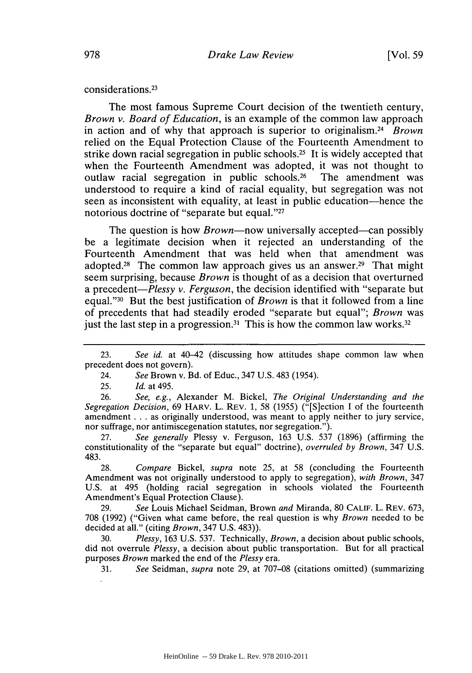considerations. <sup>23</sup>

The most famous Supreme Court decision of the twentieth century, *Brown v. Board of Education,* is an example of the common law approach in action and of why that approach is superior to originalism.<sup>24</sup> Brown relied on the Equal Protection Clause of the Fourteenth Amendment to strike down racial segregation in public schools.<sup>25</sup> It is widely accepted that when the Fourteenth Amendment was adopted, it was not thought to outlaw racial segregation in public schools.<sup>26</sup> The amendment was understood to require a kind of racial equality, but segregation was not seen as inconsistent with equality, at least in public education-hence the notorious doctrine of "separate but equal."27

The question is how *Brown*—now universally accepted—can possibly be a legitimate decision when it rejected an understanding of the Fourteenth Amendment that was held when that amendment was adopted.28 The common law approach gives us an answer.29 That might seem surprising, because *Brown* is thought of as a decision that overturned a precedent-Plessy *v. Ferguson,* the decision identified with "separate but equal."<sup>30</sup> But the best justification of *Brown* is that it followed from a line of precedents that had steadily eroded "separate but equal"; *Brown* was just the last step in a progression.<sup>31</sup> This is how the common law works.<sup>32</sup>

**26.** *See, e.g.,* Alexander M. Bickel, *The Original Understanding and the Segregation Decision,* **69** HARV. L. REV. **1, 58 (1955)** ("[S]ection **I** of the fourteenth amendment **. ..** as originally understood, was meant to apply neither to jury service, nor suffrage, nor antimiscegenation statutes, nor segregation.").

**27.** *See generally* Plessy v. Ferguson, **163 U.S. 537 (1896)** (affirming the constitutionality of the "separate but equal" doctrine), *overruled by Brown,* 347 **U.S.** 483.

**28.** *Compare Bickel, supra* note **25,** at **58** (concluding the Fourteenth Amendment was not originally understood to apply to segregation), *with Brown,* 347 **U.S.** at 495 (holding racial segregation in schools violated the Fourteenth Amendment's Equal Protection Clause).

**29.** *See* Louis Michael Seidman, Brown *and* Miranda, **80 CALIF.** L. **REV. 673, <sup>708</sup>**(1992) ("Given what came before, the real question is why *Brown* needed to be decided at all." (citing *Brown,* 347 **U.S.** 483)).

**30.** *Plessy,* **163 U.S. 537.** Technically, *Brown,* a decision about public schools, did not overrule *Plessy,* a decision about public transportation. But for all practical purposes *Brown* marked the end of the *Plessy era.*

**31.** *See Seidman, supra* note **29,** at **707-08** (citations omitted) (summarizing

**<sup>23.</sup>** *See id.* at 40-42 (discussing how attitudes shape common law when precedent does not govern).

<sup>24.</sup> *See* Brown v. Bd. of Educ., 347 **U.S.** 483 (1954).

**<sup>25.</sup>** *Id.* at 495.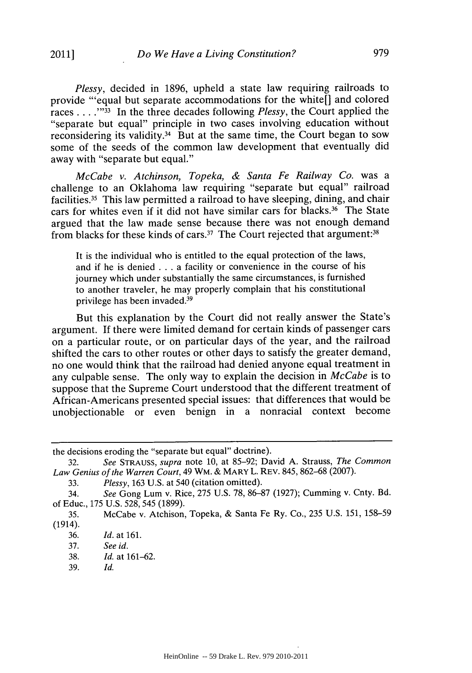*Plessy,* decided in **1896,** upheld a state law requiring railroads to provide "'equal but separate accommodations for the white[] and colored races **. . . .""I** In the three decades following *Plessy,* the Court applied the "separate but equal" principle in two cases involving education without reconsidering its validity.34 But at the same time, the Court began to sow some of the seeds of the common law development that eventually did away with "separate but equal."

*McCabe v. Atchinson, Topeka, & Santa Fe Railway Co.* was a challenge to an Oklahoma law requiring "separate but equal" railroad facilities.35 This law permitted a railroad to have sleeping, dining, and chair cars for whites even if it did not have similar cars for blacks.36 The State argued that the law made sense because there was not enough demand from blacks for these kinds of cars.<sup>37</sup> The Court rejected that argument:<sup>38</sup>

It is the individual who is entitled to the equal protection of the laws, and if he is denied **. . .** a facility or convenience in the course of his journey which under substantially the same circumstances, is furnished to another traveler, he may properly complain that his constitutional privilege has been invaded.<sup>39</sup>

But this explanation **by** the Court did not really answer the State's argument. **If** there were limited demand for certain kinds of passenger cars on a particular route, or on particular days of the year, and the railroad shifted the cars to other routes or other days to satisfy the greater demand, no one would think that the railroad had denied anyone equal treatment in any culpable sense. The only way to explain the decision in *McCabe* is to suppose that the Supreme Court understood that the different treatment of African-Americans presented special issues: that differences that would be unobjectionable or even benign in a nonracial context become

**36.** *Id.* at **161.**

the decisions eroding the "separate but equal" doctrine).

**<sup>32.</sup>** *See STRAUSS, supra note* **10,** at **85-92;** David **A.** Strauss, *The Common Law Genius of the Warren Court,* 49 WM. *&* MARY L. REV. 845, **862-68 (2007).**

**<sup>33.</sup>** *Plessy,* **163 U.S.** at 540 (citation omitted).

<sup>34.</sup> *See* Gong Lum v. Rice, **275 U.S. 78, 86-87 (1927);** Cumming v. Cnty. Bd. of Educ., **175 U.S. 528, 545 (1899).**

**<sup>35.</sup>** McCabe v. Atchison, Topeka, **&** Santa Fe Ry. Co., **235 U.S. 151, 158-59** (1914).

**<sup>37.</sup>** *See id.*

**<sup>38.</sup>** *Id.* at **161-62.**

**<sup>39.</sup>** *Id.*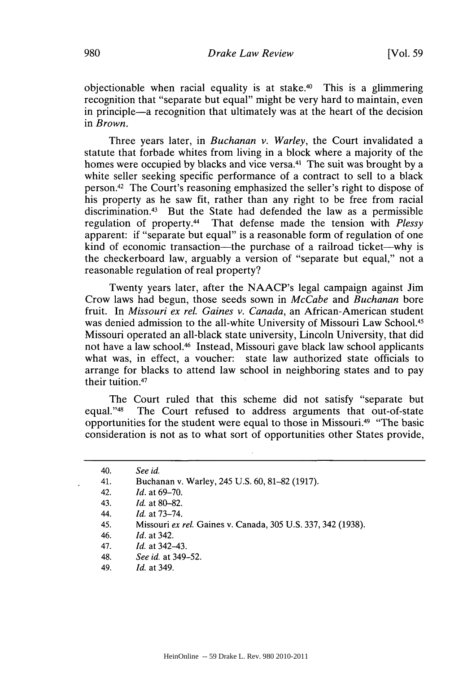objectionable when racial equality is at stake. $40$  This is a glimmering recognition that "separate but equal" might be very hard to maintain, even in principle-a recognition that ultimately was at the heart of the decision in *Brown.*

Three years later, in *Buchanan v. Warley,* the Court invalidated a statute that forbade whites from living in a block where a majority of the homes were occupied **by** blacks and vice versa.4 1 The suit was brought **by** a white seller seeking specific performance of a contract to sell to a black person. 42 The Court's reasoning emphasized the seller's right to dispose of his property as he saw fit, rather than any right to be free from racial discrimination.<sup>43</sup> But the State had defended the law as a permissible regulation of property.44 That defense made the tension with *Plessy* apparent: if "separate but equal" is a reasonable form of regulation of one kind of economic transaction—the purchase of a railroad ticket—why is the checkerboard law, arguably a version of "separate but equal," not a reasonable regulation of real property?

Twenty years later, after the NAACP's legal campaign against Jim Crow laws had begun, those seeds sown in *McCabe and Buchanan bore* fruit. In *Missouri ex rel. Gaines v. Canada,* an African-American student was denied admission to the all-white University of Missouri Law School.<sup>45</sup> Missouri operated an all-black state university, Lincoln University, that did not have a law school.46 Instead, Missouri gave black law school applicants what was, in effect, a voucher: state law authorized state officials to arrange for blacks to attend law school in neighboring states and to pay their tuition.<sup>47</sup>

The Court ruled that this scheme did not satisfy "separate but equal."<sup>48</sup> The Court refused to address arguments that out-of-state The Court refused to address arguments that out-of-state opportunities for the student were equal to those in Missouri.49 "The basic consideration is not as to what sort of opportunities other States provide,

- 45. Missouri *ex rel.* Gaines v. Canada, *305* **U.S. 337,** 342 **(1938).**
- 46. *Id. at* 342.
- 47. *Id. at* 342-43.
- 48. *See id. at* 349-52.
- 49. *Id. at* 349.

<sup>40.</sup> *See id.*

<sup>41.</sup> Buchanan v. Warley, 245 **U.S. 60, 81-82 (1917).**

<sup>42.</sup> *Id. at* **69-70.**

<sup>43.</sup> *Id. at* **80-82.**

*<sup>44.</sup> Id. at* **73-74.**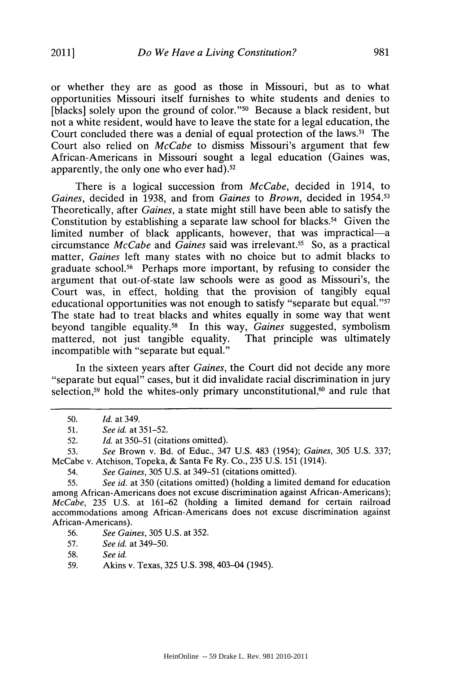or whether they are as good as those in Missouri, but as to what opportunities Missouri itself furnishes to white students and denies to [blacks] solely upon the ground of color."<sup>50</sup> Because a black resident, but not a white resident, would have to leave the state for a legal education, the Court concluded there was a denial of equal protection of the laws.<sup>51</sup> The Court also relied on *McCabe* to dismiss Missouri's argument that few African-Americans in Missouri sought a legal education (Gaines was, apparently, the only one who ever had).52

There is a logical succession from *McCabe,* decided in 1914, to *Gaines,* decided in **1938,** and from *Gaines to Brown,* decided in 1954.53 Theoretically, after *Gaines,* a state might still have been able to satisfy the Constitution by establishing a separate law school for blacks.<sup>54</sup> Given the limited number of black applicants, however, that was impractical-a circumstance *McCabe and Gaines* said was irrelevant.55 So, as a practical matter, *Gaines* left many states with no choice but to admit blacks to graduate school." Perhaps more important, **by** refusing to consider the argument that out-of-state law schools were as good as Missouri's, the Court was, in effect, holding that the provision of tangibly equal educational opportunities was not enough to satisfy "separate but equal."57 The state had to treat blacks and whites equally in some way that went beyond tangible equality.<sup>58</sup> In this way, *Gaines* suggested, symbolism mattered, not just tangible equality. That principle was ultimately mattered, not just tangible equality. incompatible with "separate but equal."

In the sixteen years after *Gaines,* the Court did not decide any more "separate but equal" cases, but it did invalidate racial discrimination in jury selection,<sup>59</sup> hold the whites-only primary unconstitutional,<sup>60</sup> and rule that

**<sup>50.</sup>** *Id. at* 349.

**<sup>51.</sup>** *See id. at* **351-52.**

**<sup>52.</sup>** *Id.* at **350-51** (citations omitted).

**<sup>53.</sup>** *See* Brown v. Bd. of Educ., 347 **U.S.** 483 (1954); *Gaines,* **305 U.S. 337;** McCabe v. Atchison, Topeka, **&** Santa Fe Ry. Co., **235 U.S. 151** (1914).

<sup>54.</sup> *See Gaines, 305* **U.S.** at 349-51 (citations omitted).

**<sup>55.</sup>** *See id.* at **350** (citations omitted) (holding a limited demand for education among African-Americans does not excuse discrimination against African-Americans); *McCabe, 235* **U.S.** at **161-62** (holding a limited demand for certain railroad accommodations among African-Americans does not excuse discrimination against African-Americans).

**<sup>56.</sup>** *See Gaines,* **305 U.S.** at **352.**

**<sup>57.</sup>** *See id.* at 349-50.

**<sup>58.</sup>** *See id.*

**<sup>59.</sup>** Akins v. Texas, **325 U.S.** 398, 403-04 (1945).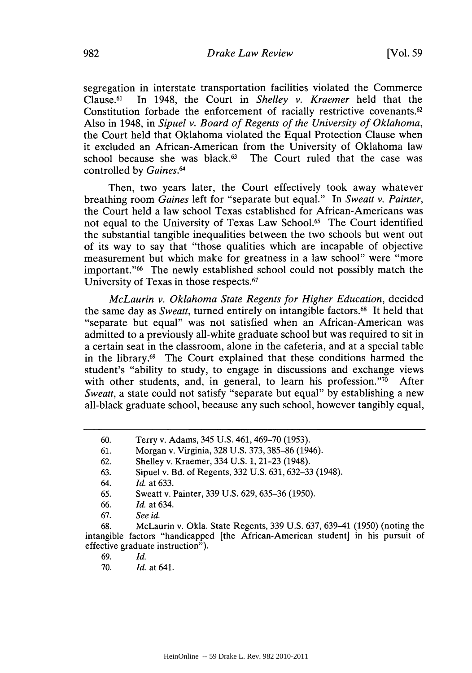segregation in interstate transportation facilities violated the Commerce  $Clause.<sub>61</sub>$ 1 In 1948, the Court in *Shelley v. Kraemer* held that the Constitution forbade the enforcement of racially restrictive covenants.<sup>62</sup> Also in 1948, in *Sipuel v. Board of Regents of the University of Oklahoma,* the Court held that Oklahoma violated the Equal Protection Clause when it excluded an African-American from the University of Oklahoma law school because she was black. $63$  The Court ruled that the case was controlled **by** *Gaines."'*

Then, two years later, the Court effectively took away whatever breathing room *Gaines* left for "separate but equal." In *Sweatt v. Painter,* the Court held a law school Texas established for African-Americans was not equal to the University of Texas Law School.<sup>65</sup> The Court identified the substantial tangible inequalities between the two schools but went out of its way to say that "those qualities which are incapable of objective measurement but which make for greatness in a law school" were "more important."<sup>66</sup> The newly established school could not possibly match the University of Texas in those respects. <sup>67</sup>

*McLaurin v. Oklahoma State Regents for Higher Education,* decided the same day as *Sweatt,* turned entirely on intangible factors.68 It held that "separate but equal" was not satisfied when an African-American was admitted to a previously all-white graduate school but was required to sit in a certain seat in the classroom, alone in the cafeteria, and at a special table in the library. $69$  The Court explained that these conditions harmed the student's "ability to study, to engage in discussions and exchange views with other students, and, in general, to learn his profession." $\frac{770}{10}$  After *Sweatt,* a state could not satisfy "separate but equal" **by** establishing a new all-black graduate school, because any such school, however tangibly equal,

**<sup>60.</sup>** Terry v. Adams, 345 **U.S.** 461, **469-70 (1953).**

**<sup>61.</sup>** Morgan v. Virginia, **328 U.S. 373, 385-86** (1946).

**<sup>62.</sup>** Shelley v. Kraemer, 334 **U.S. 1, 21-23** (1948).

**<sup>63.</sup>** Sipuel v. Bd. of Regents, **332 U.S. 631, 632-33** (1948).

*<sup>64.</sup> Id.* at **633.**

**<sup>65.</sup>** Sweatt v. Painter, **339 U.S. 629, 635-36 (1950).**

**<sup>66.</sup>** *Id.* at 634.

**<sup>67.</sup>** *See id.*

**<sup>68.</sup>** McLaurin v. Okla. State Regents, **339 U.S. 637,** 639-41 **(1950)** (noting the intangible factors "handicapped [the African-American student] in his pursuit of effective graduate instruction").

**<sup>69.</sup>** *Id.*

**<sup>70.</sup>** *Id.* at 641.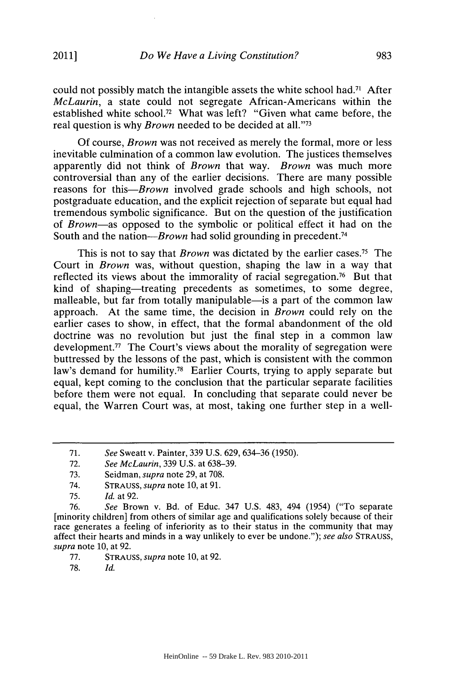could not possibly match the intangible assets the white school had.<sup>71</sup> After *McLaurin,* a state could not segregate African-Americans within the established white school.<sup>72</sup> What was left? "Given what came before, the real question is why *Brown* needed to be decided at all."73

**Of** course, *Brown* was not received as merely the formal, more or less inevitable culmination of a common law evolution. The justices themselves apparently did not think of *Brown* that way. *Brown* was much more controversial than any of the earlier decisions. There are many possible reasons for *this-Brown* involved grade schools and high schools, not postgraduate education, and the explicit rejection of separate but equal had tremendous symbolic significance. But on the question of the justification of *Brown-as* opposed to the symbolic or political effect it had on the South and the nation— $Brown$  had solid grounding in precedent.<sup>74</sup>

This is not to say that *Brown* was dictated **by** the earlier cases.75 The Court in *Brown* was, without question, shaping the law in a way that reflected its views about the immorality of racial segregation.<sup>76</sup> But that kind of shaping—treating precedents as sometimes, to some degree, malleable, but far from totally manipulable—is a part of the common law approach. At the same time, the decision in *Brown* could rely on the earlier cases to show, in effect, that the formal abandonment of the old doctrine was no revolution but just the final step in a common law development.<sup>77</sup> The Court's views about the morality of segregation were buttressed **by** the lessons of the past, which is consistent with the common law's demand for humility.<sup>78</sup> Earlier Courts, trying to apply separate but equal, kept coming to the conclusion that the particular separate facilities before them were not equal. In concluding that separate could never be equal, the Warren Court was, at most, taking one further step in a well-

**72.** *See McLaurin,* **339 U.S.** at **638-39.**

74. **STRAUSS,** *supra* note **10,** at **91.**

- **77. STRAUSS,** *supra* note **10,** at **92.**
- **78.** *Id.*

**<sup>71.</sup>** *See* Sweatt v. Painter, **339 U.S. 629, 634-36 (1950).**

**<sup>73.</sup>** Seidman, *supra* note **29,** at **708.**

**<sup>75.</sup>** *Id.* at **92.**

**<sup>76.</sup>** *See* Brown v. Bd. of Educ. 347 **U.S.** 483, 494 (1954) ("To separate [minority children] from others of similar age and qualifications solely because of their race generates a feeling of inferiority as to their status in the community that may affect their hearts and minds in a way unlikely to ever be undone."); *see also* **STRAUSS,** *supra* note **10,** at **92.**